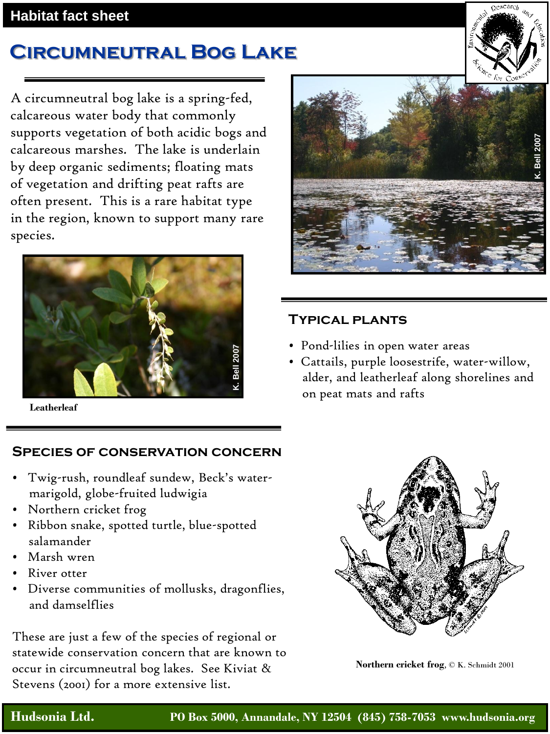#### **Habitat fact sheet**

# **Circumneutral Bog Lake**

A circumneutral bog lake is a spring-fed, calcareous water body that commonly supports vegetation of both acidic bogs and calcareous marshes. The lake is underlain by deep organic sediments; floating mats of vegetation and drifting peat rafts are often present. This is a rare habitat type in the region, known to support many rare species.



**Leatherleaf**

### **Species of conservation concern**

- Twig-rush, roundleaf sundew, Beck's watermarigold, globe-fruited ludwigia
- Northern cricket frog
- Ribbon snake, spotted turtle, blue-spotted salamander
- Marsh wren
- River otter
- Diverse communities of mollusks, dragonflies, and damselflies

These are just a few of the species of regional or statewide conservation concern that are known to occur in circumneutral bog lakes. See Kiviat & Stevens (2001) for a more extensive list.



### **Typical plants**

- Pond-lilies in open water areas
- Cattails, purple loosestrife, water-willow, alder, and leatherleaf along shorelines and on peat mats and rafts



**Northern cricket frog**, © K. Schmidt 2001